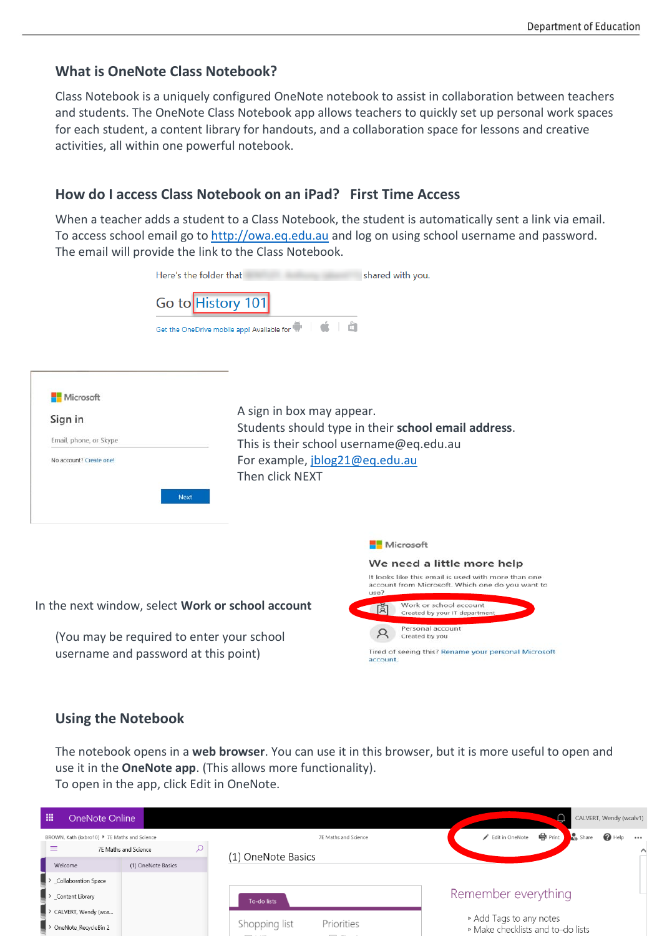## **What is OneNote Class Notebook?**

Class Notebook is a uniquely configured OneNote notebook to assist in collaboration between teachers and students. The OneNote Class Notebook app allows teachers to quickly set up personal work spaces for each student, a content library for handouts, and a collaboration space for lessons and creative activities, all within one powerful notebook.

## **How do I access Class Notebook on an iPad? First Time Access**

When a teacher adds a student to a Class Notebook, the student is automatically sent a link via email. To access school email go to [http://owa.eq.edu.au](http://owa.eq.edu.au/) and log on using school username and password. The email will provide the link to the Class Notebook.

| Here's the folder that                                                                   |                                                                                                                                                                                  | shared with you.                                                                                                |  |  |  |  |
|------------------------------------------------------------------------------------------|----------------------------------------------------------------------------------------------------------------------------------------------------------------------------------|-----------------------------------------------------------------------------------------------------------------|--|--|--|--|
| Go to History 101<br>Get the OneDrive mobile app! Available for                          | Ċ                                                                                                                                                                                |                                                                                                                 |  |  |  |  |
| Microsoft<br>Sign in<br>Email, phone, or Skype<br>No account? Create one!<br><b>Next</b> | A sign in box may appear.<br>Students should type in their school email address.<br>This is their school username@eq.edu.au<br>For example, jblog21@eq.edu.au<br>Then click NEXT |                                                                                                                 |  |  |  |  |
|                                                                                          |                                                                                                                                                                                  | Microsoft                                                                                                       |  |  |  |  |
|                                                                                          |                                                                                                                                                                                  | We need a little more help                                                                                      |  |  |  |  |
|                                                                                          |                                                                                                                                                                                  | It looks like this email is used with more than one<br>account from Microsoft. Which one do you want to<br>use? |  |  |  |  |
| In the next window, select Work or school account                                        |                                                                                                                                                                                  | Work or school account<br>ब्रि<br>Created by your IT department                                                 |  |  |  |  |
| (You may be required to enter your school<br>username and password at this point)        | Personal account<br>Created by you<br>Tired of seeing this? Rename your personal Microsoft<br>account.                                                                           |                                                                                                                 |  |  |  |  |

## **Using the Notebook**

The notebook opens in a **web browser**. You can use it in this browser, but it is more useful to open and use it in the **OneNote app**. (This allows more functionality). To open in the app, click Edit in OneNote.

| m<br>OneNote Online                          |                      |                                              | CALVERT, Wendy (wcalv1)                                                                  |
|----------------------------------------------|----------------------|----------------------------------------------|------------------------------------------------------------------------------------------|
| BROWN, Kath (kxbro10) ▶ 7E Maths and Science |                      | 7E Maths and Science                         | <b>e</b> Print<br>$\frac{1}{14}$ Share<br>$\bigcirc$ Help<br>Edit in OneNote<br>$\cdots$ |
|                                              | 7E Maths and Science | (1) OneNote Basics                           | Λ                                                                                        |
| Welcome                                      | (1) OneNote Basics   |                                              |                                                                                          |
| $\blacktriangleright$ Collaboration Space    |                      |                                              |                                                                                          |
| $\overline{\phantom{a}}$ > _Content Library  |                      | To-do lists                                  | Remember everything                                                                      |
| > CALVERT, Wendy (wca                        |                      |                                              |                                                                                          |
| $\Box$ > OneNote RecycleBin 2                |                      | Shopping list<br>Priorities<br>$-$<br>______ | ▷ Add Tags to any notes<br>▶ Make checklists and to-do lists                             |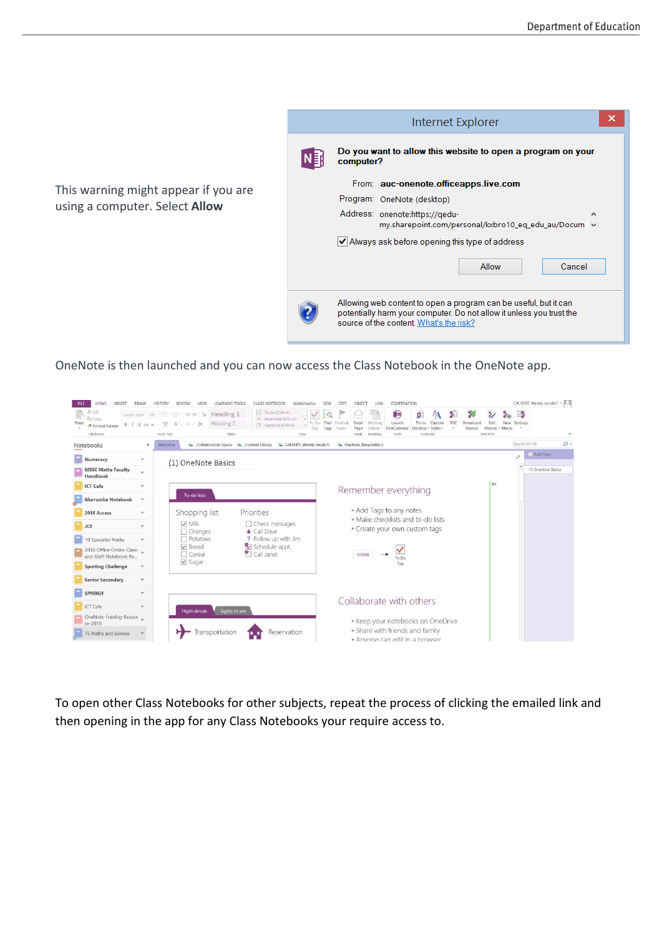

OneNote is then launched and you can now access the Class Notebook in the OneNote app.

| INSERT<br>HOME<br><b>FILE</b><br>X Cut<br>in Copy<br>S Format Painter<br>Clipboard<br>Notebooks | <b>DRAW</b><br><b>HISTORY</b><br><b>REVIEW</b><br>VIEW<br>Calibri Light - 20 - : = - : = - < = + + 4<br>B $I$ U also $X_2$ - $\mathscr{Y}$ - A - $\equiv$ - $\times$<br>Basic Text<br>Welcome | <b>LEARNING TOOLS</b><br><b>CLASS NOTEBOOK</b><br>$\sqrt{$ To Do (Ctrl+1)<br>Heading 1<br>Heading 2<br>Styles<br>Collaboration Space Content Library CALVERT, Wendy (wcalv1) CALVERT (Collaboration Space Content Library | Mathematics<br>$\overline{P}$ $\overline{O}$<br>$\equiv$ Important (Ctrl+2)<br>To Do Find<br>? Question (Ctrl+3)<br>Tags<br>Taci<br>Tags | OBJECT<br><b>FDI</b><br>Outlook<br>Email<br>Tasks<br>Page<br>Email | COOPERATION<br>LINK<br>B<br>Meeting<br>Launch<br>OneCalendar<br>Details <sup>®</sup><br>Meetings<br>Tools | ŋ,<br>PΔ<br>Pin to<br>Custom<br>Desktop - Styles<br>Onetastic | 錾<br>38<br>TOC<br>Download<br>Macros | $\mathcal{L}$<br>Edit<br>Macros * Macro<br>MACROS | $\mathbb{R}^2$<br>$\mathbf{G}(\mathbf{F})$<br>New.<br>Settings<br>Search (Ctrl+E) | CALVERT, Wendy (wcalv1) -<br>$\hat{\phantom{a}}$<br>$\Omega$ |
|-------------------------------------------------------------------------------------------------|-----------------------------------------------------------------------------------------------------------------------------------------------------------------------------------------------|---------------------------------------------------------------------------------------------------------------------------------------------------------------------------------------------------------------------------|------------------------------------------------------------------------------------------------------------------------------------------|--------------------------------------------------------------------|-----------------------------------------------------------------------------------------------------------|---------------------------------------------------------------|--------------------------------------|---------------------------------------------------|-----------------------------------------------------------------------------------|--------------------------------------------------------------|
| Numeracy<br><b>MSSC Maths Faculty</b><br>Handbook                                               | $\checkmark$<br>(1) OneNote Basics<br>$\ddot{\phantom{0}}$                                                                                                                                    |                                                                                                                                                                                                                           |                                                                                                                                          |                                                                    |                                                                                                           |                                                               |                                      |                                                   |                                                                                   | + Add Page<br>(1) OneNote Basics                             |
| <b>ICT Cafe</b><br>Murrumba Notebook                                                            | v<br>To-do lists<br>$\ddot{}$                                                                                                                                                                 |                                                                                                                                                                                                                           |                                                                                                                                          |                                                                    | Remember everything<br>▶ Add Tags to any notes                                                            |                                                               |                                      | <b>BK</b>                                         |                                                                                   |                                                              |
| 2018 Access<br><b>JCE</b><br>10 Specialist Maths                                                | Shopping list<br>v<br>$\vee$ Milk<br>$\mathbf{v}$<br>7 Oranges<br>Potatoes<br>$\checkmark$                                                                                                    | Priorities<br>$\Box$ Check messages<br>* Call Dave<br>? Follow up with Jim                                                                                                                                                |                                                                                                                                          |                                                                    | ▶ Make checklists and to-do lists<br>► Create your own custom tags                                        |                                                               |                                      |                                                   |                                                                                   |                                                              |
| 2018-Office-Online-Class-<br>and-Staff-Notebook-Re<br><b>Sporting Challenge</b>                 | $\triangledown$ Bread<br>$\Box$ Cereal<br>$\vee$ Sugar<br>$\checkmark$                                                                                                                        | Schedule appt.<br>Call Janet                                                                                                                                                                                              |                                                                                                                                          | HOME                                                               | To Do<br>Tag                                                                                              |                                                               |                                      |                                                   |                                                                                   |                                                              |
| <b>Senior Secondary</b>                                                                         | $\mathbf{v}$                                                                                                                                                                                  |                                                                                                                                                                                                                           |                                                                                                                                          |                                                                    |                                                                                                           |                                                               |                                      |                                                   |                                                                                   |                                                              |
| SPN082F<br>ICT Cafe                                                                             | $\checkmark$<br>$\checkmark$<br><b>Flight details</b>                                                                                                                                         | Sights to see                                                                                                                                                                                                             |                                                                                                                                          |                                                                    | Collaborate with others                                                                                   |                                                               |                                      |                                                   |                                                                                   |                                                              |
| OneNote-Training-Resour<br>ce-2018<br>7E Maths and Science                                      |                                                                                                                                                                                               | Transportation                                                                                                                                                                                                            | Reservation                                                                                                                              |                                                                    | ▶ Keep your notebooks on OneDrive<br>Share with friends and family<br>Anyone can edit in a browser        |                                                               |                                      |                                                   |                                                                                   |                                                              |

To open other Class Notebooks for other subjects, repeat the process of clicking the emailed link and then opening in the app for any Class Notebooks your require access to.

This warning might appear if you are using a computer. Select **Allow**